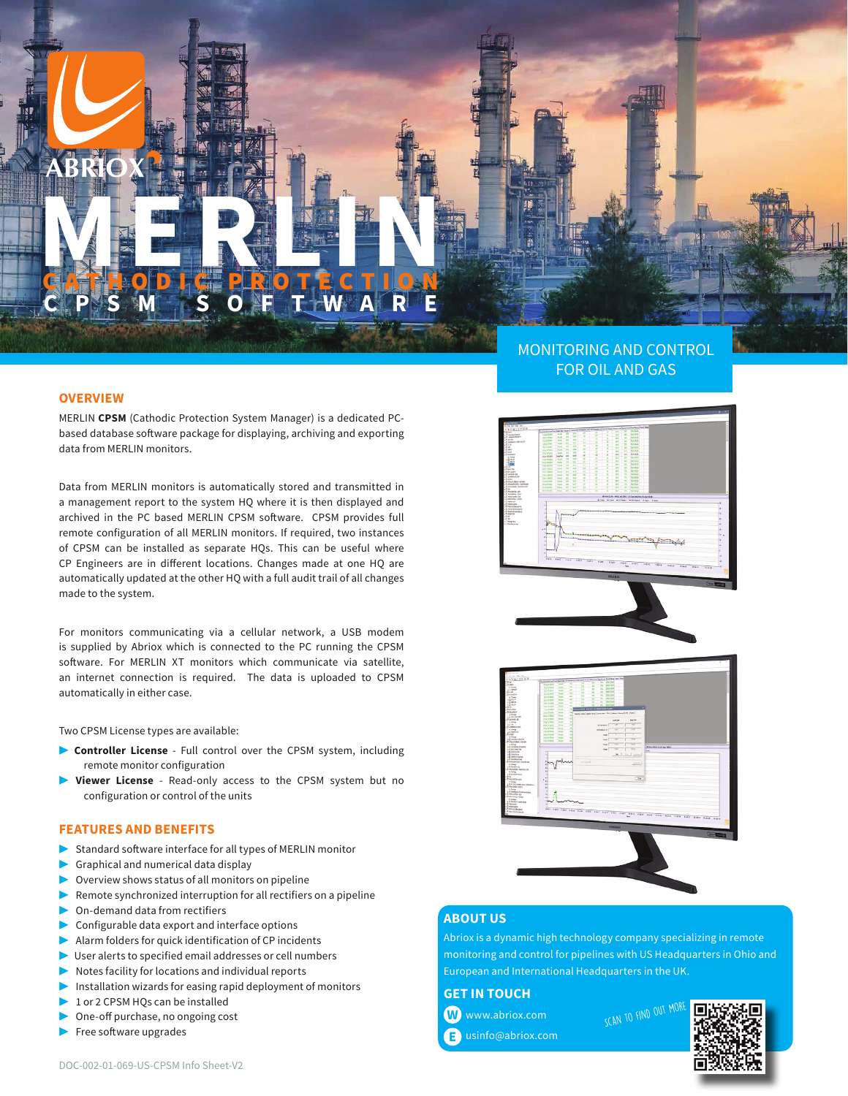# **MERLINE PROTECTION** GATHODIC PROTECTION **CPSM SOFTWARE**

### **OVERVIEW**

MERLIN **CPSM** (Cathodic Protection System Manager) is a dedicated PCbased database software package for displaying, archiving and exporting data from MERLIN monitors.

Data from MERLIN monitors is automatically stored and transmitted in a management report to the system HQ where it is then displayed and archived in the PC based MERLIN CPSM software. CPSM provides full remote configuration of all MERLIN monitors. If required, two instances of CPSM can be installed as separate HQs. This can be useful where CP Engineers are in different locations. Changes made at one HQ are automatically updated at the other HQ with a full audit trail of all changes made to the system.

For monitors communicating via a cellular network, a USB modem is supplied by Abriox which is connected to the PC running the CPSM software. For MERLIN XT monitors which communicate via satellite, an internet connection is required. The data is uploaded to CPSM automatically in either case.

Two CPSM License types are available:

- ▶ **Controller License** Full control over the CPSM system, including remote monitor configuration
- Viewer License Read-only access to the CPSM system but no configuration or control of the units

## **FEATURES AND BENEFITS**

- Standard software interface for all types of MERLIN monitor
- Graphical and numerical data display
- Overview shows status of all monitors on pipeline
- Remote synchronized interruption for all rectifiers on a pipeline
- On-demand data from rectifiers
- Configurable data export and interface options
- Alarm folders for quick identification of CP incidents
- User alerts to specified email addresses or cell numbers
- Notes facility for locations and individual reports
- Installation wizards for easing rapid deployment of monitors
- 1 or 2 CPSM HQs can be installed
- One-off purchase, no ongoing cost
- ▶ Free software upgrades

# MONITORING AND CONTROL FOR OIL AND GAS



## **ABOUT US**

Abriox is a dynamic high technology company specializing in remote monitoring and control for pipelines with US Headquarters in Ohio and European and International Headquarters in the UK.

**GET IN TOUCH**

 www.abriox.com **W** usinfo@abriox.com **E** SCAN TO FIND OUT MO